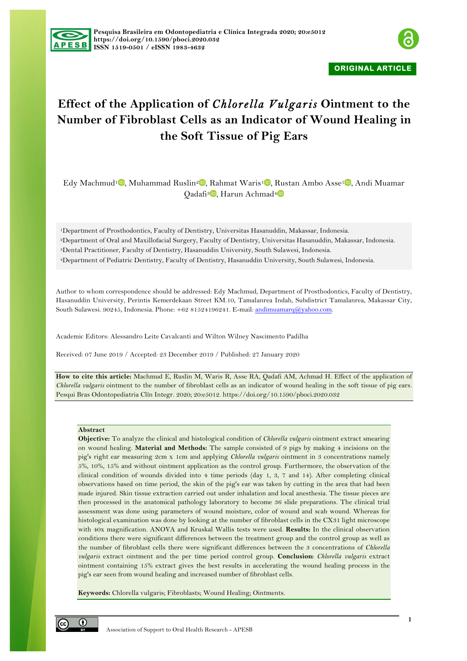



**ORIGINAL ARTICLE** 

# **Effect of the Application of** *Chlorella Vulgaris* **Ointment to the Number of Fibroblast Cells as an Indicator of Wound Healing in the Soft Tissue of Pig Ears**

Edy Machmud<sup>1</sup> , Muhammad Ruslin<sup>2</sup> , Rahmat Waris<sup>1</sup> , Rustan Ambo Asse<sup>1</sup> , Andi Muamar Qadafi<sup>3</sup> , Harun Achmad<sup>4</sup>

1Department of Prosthodontics, Faculty of Dentistry, Universitas Hasanuddin, Makassar, Indonesia. 2Department of Oral and Maxillofacial Surgery, Faculty of Dentistry, Universitas Hasanuddin, Makassar, Indonesia. 3Dental Practitioner, Faculty of Dentistry, Hasanuddin University, South Sulawesi, Indonesia. 4Department of Pediatric Dentistry, Faculty of Dentistry, Hasanuddin University, South Sulawesi, Indonesia.

Author to whom correspondence should be addressed: Edy Machmud, Department of Prosthodontics, Faculty of Dentistry, Hasanuddin University, Perintis Kemerdekaan Street KM.10, Tamalanrea Indah, Subdistrict Tamalanrea, Makassar City, South Sulawesi. 90245, Indonesia. Phone: +62 81524196241. E-mail: andimuamarq@yahoo.com.

Academic Editors: Alessandro Leite Cavalcanti and Wilton Wilney Nascimento Padilha

Received: 07 June 2019 / Accepted: 23 December 2019 / Published: 27 January 2020

**How to cite this article:** Machmud E, Ruslin M, Waris R, Asse RA, Qadafi AM, Achmad H. Effect of the application of *Chlorella vulgaris* ointment to the number of fibroblast cells as an indicator of wound healing in the soft tissue of pig ears. Pesqui Bras Odontopediatria Clín Integr. 2020; 20:e5012. https://doi.org/10.1590/pboci.2020.032

#### **Abstract**

**Objective:** To analyze the clinical and histological condition of *Chlorella vulgaris* ointment extract smearing on wound healing. **Material and Methods:** The sample consisted of 9 pigs by making 4 incisions on the pig's right ear measuring 2cm x 1cm and applying *Chlorella vulgaris* ointment in 3 concentrations namely 5%, 10%, 15% and without ointment application as the control group. Furthermore, the observation of the clinical condition of wounds divided into 4 time periods (day 1, 3, 7 and 14). After completing clinical observations based on time period, the skin of the pig's ear was taken by cutting in the area that had been made injured. Skin tissue extraction carried out under inhalation and local anesthesia. The tissue pieces are then processed in the anatomical pathology laboratory to become 36 slide preparations. The clinical trial assessment was done using parameters of wound moisture, color of wound and scab wound. Whereas for histological examination was done by looking at the number of fibroblast cells in the CX31 light microscope with 40x magnification. ANOVA and Kruskal Wallis tests were used. **Results:** In the clinical observation conditions there were significant differences between the treatment group and the control group as well as the number of fibroblast cells there were significant differences between the 3 concentrations of *Chlorella vulgaris* extract ointment and the per time period control group. **Conclusion:** *Chlorella vulgaris* extract ointment containing 15% extract gives the best results in accelerating the wound healing process in the pig's ear seen from wound healing and increased number of fibroblast cells.

**Keywords:** Chlorella vulgaris; Fibroblasts; Wound Healing; Ointments.

O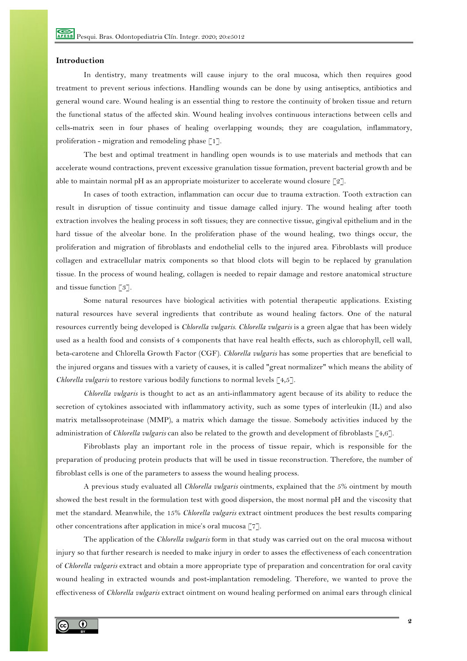## **Introduction**

In dentistry, many treatments will cause injury to the oral mucosa, which then requires good treatment to prevent serious infections. Handling wounds can be done by using antiseptics, antibiotics and general wound care. Wound healing is an essential thing to restore the continuity of broken tissue and return the functional status of the affected skin. Wound healing involves continuous interactions between cells and cells-matrix seen in four phases of healing overlapping wounds; they are coagulation, inflammatory, proliferation - migration and remodeling phase  $\lceil 1 \rceil$ .

The best and optimal treatment in handling open wounds is to use materials and methods that can accelerate wound contractions, prevent excessive granulation tissue formation, prevent bacterial growth and be able to maintain normal pH as an appropriate moisturizer to accelerate wound closure [2].

In cases of tooth extraction, inflammation can occur due to trauma extraction. Tooth extraction can result in disruption of tissue continuity and tissue damage called injury. The wound healing after tooth extraction involves the healing process in soft tissues; they are connective tissue, gingival epithelium and in the hard tissue of the alveolar bone. In the proliferation phase of the wound healing, two things occur, the proliferation and migration of fibroblasts and endothelial cells to the injured area. Fibroblasts will produce collagen and extracellular matrix components so that blood clots will begin to be replaced by granulation tissue. In the process of wound healing, collagen is needed to repair damage and restore anatomical structure and tissue function [3].

Some natural resources have biological activities with potential therapeutic applications. Existing natural resources have several ingredients that contribute as wound healing factors. One of the natural resources currently being developed is *Chlorella vulgaris*. *Chlorella vulgaris* is a green algae that has been widely used as a health food and consists of 4 components that have real health effects, such as chlorophyll, cell wall, beta-carotene and Chlorella Growth Factor (CGF). *Chlorella vulgaris* has some properties that are beneficial to the injured organs and tissues with a variety of causes, it is called "great normalizer" which means the ability of *Chlorella vulgaris* to restore various bodily functions to normal levels [4,5].

*Chlorella vulgaris* is thought to act as an anti-inflammatory agent because of its ability to reduce the secretion of cytokines associated with inflammatory activity, such as some types of interleukin (IL) and also matrix metallssoproteinase (MMP), a matrix which damage the tissue. Somebody activities induced by the administration of *Chlorella vulgaris* can also be related to the growth and development of fibroblasts [4,6].

Fibroblasts play an important role in the process of tissue repair, which is responsible for the preparation of producing protein products that will be used in tissue reconstruction. Therefore, the number of fibroblast cells is one of the parameters to assess the wound healing process.

A previous study evaluated all *Chlorella vulgaris* ointments, explained that the 5% ointment by mouth showed the best result in the formulation test with good dispersion, the most normal pH and the viscosity that met the standard. Meanwhile, the 15% *Chlorella vulgaris* extract ointment produces the best results comparing other concentrations after application in mice's oral mucosa [7].

The application of the *Chlorella vulgaris* form in that study was carried out on the oral mucosa without injury so that further research is needed to make injury in order to asses the effectiveness of each concentration of *Chlorella vulgaris* extract and obtain a more appropriate type of preparation and concentration for oral cavity wound healing in extracted wounds and post-implantation remodeling. Therefore, we wanted to prove the effectiveness of *Chlorella vulgaris* extract ointment on wound healing performed on animal ears through clinical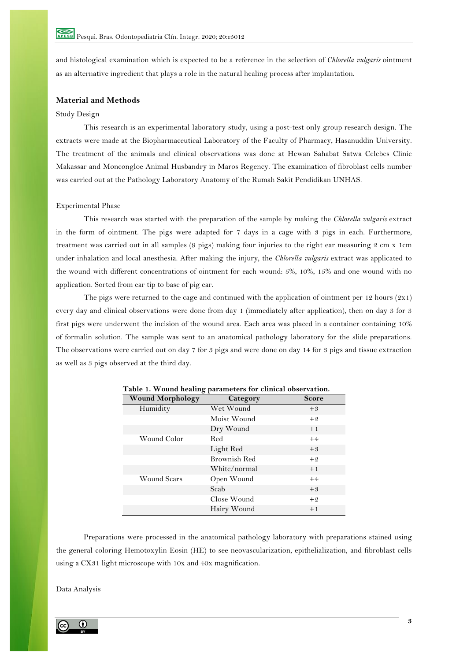and histological examination which is expected to be a reference in the selection of *Chlorella vulgaris* ointment as an alternative ingredient that plays a role in the natural healing process after implantation.

# **Material and Methods**

## Study Design

This research is an experimental laboratory study, using a post-test only group research design. The extracts were made at the Biopharmaceutical Laboratory of the Faculty of Pharmacy, Hasanuddin University. The treatment of the animals and clinical observations was done at Hewan Sahabat Satwa Celebes Clinic Makassar and Moncongloe Animal Husbandry in Maros Regency. The examination of fibroblast cells number was carried out at the Pathology Laboratory Anatomy of the Rumah Sakit Pendidikan UNHAS.

### Experimental Phase

This research was started with the preparation of the sample by making the *Chlorella vulgaris* extract in the form of ointment. The pigs were adapted for 7 days in a cage with 3 pigs in each. Furthermore, treatment was carried out in all samples (9 pigs) making four injuries to the right ear measuring 2 cm x 1cm under inhalation and local anesthesia. After making the injury, the *Chlorella vulgaris* extract was applicated to the wound with different concentrations of ointment for each wound: 5%, 10%, 15% and one wound with no application. Sorted from ear tip to base of pig ear.

The pigs were returned to the cage and continued with the application of ointment per 12 hours  $(2x1)$ every day and clinical observations were done from day 1 (immediately after application), then on day 3 for 3 first pigs were underwent the incision of the wound area. Each area was placed in a container containing 10% of formalin solution. The sample was sent to an anatomical pathology laboratory for the slide preparations. The observations were carried out on day 7 for 3 pigs and were done on day 14 for 3 pigs and tissue extraction as well as 3 pigs observed at the third day.

| <b>Wound Morphology</b> | Category            | <b>Score</b> |
|-------------------------|---------------------|--------------|
| Humidity                | Wet Wound           | $+3$         |
|                         | Moist Wound         | $+2$         |
|                         | Dry Wound           | $+1$         |
| Wound Color             | Red                 | $+4$         |
|                         | Light Red           | $+3$         |
|                         | <b>Brownish Red</b> | $+2$         |
|                         | White/normal        | $+1$         |
| <b>Wound Scars</b>      | Open Wound          | $+4$         |
|                         | Scab                | $+3$         |
|                         | Close Wound         | $+2$         |
|                         | Hairy Wound         | $+1$         |

**Table 1. Wound healing parameters for clinical observation.**

Preparations were processed in the anatomical pathology laboratory with preparations stained using the general coloring Hemotoxylin Eosin (HE) to see neovascularization, epithelialization, and fibroblast cells using a CX31 light microscope with 10x and 40x magnification.

Data Analysis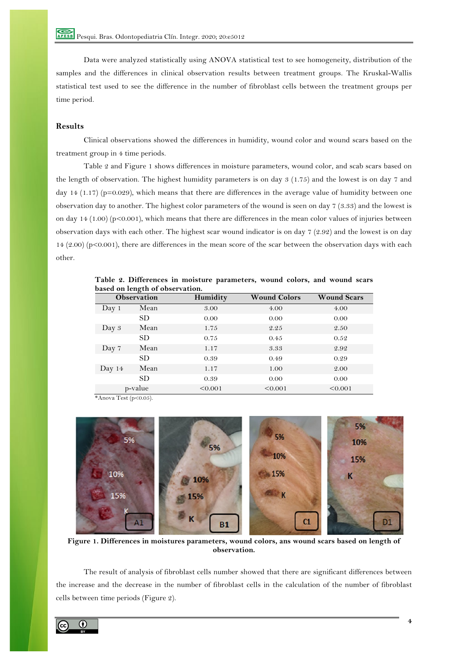Data were analyzed statistically using ANOVA statistical test to see homogeneity, distribution of the samples and the differences in clinical observation results between treatment groups. The Kruskal-Wallis statistical test used to see the difference in the number of fibroblast cells between the treatment groups per time period.

# **Results**

Clinical observations showed the differences in humidity, wound color and wound scars based on the treatment group in 4 time periods.

Table 2 and Figure 1 shows differences in moisture parameters, wound color, and scab scars based on the length of observation. The highest humidity parameters is on day 3 (1.75) and the lowest is on day 7 and day 14 (1.17) (p=0.029), which means that there are differences in the average value of humidity between one observation day to another. The highest color parameters of the wound is seen on day 7 (3.33) and the lowest is on day 14 (1.00) (p<0.001), which means that there are differences in the mean color values of injuries between observation days with each other. The highest scar wound indicator is on day 7 (2.92) and the lowest is on day 14 (2.00) (p<0.001), there are differences in the mean score of the scar between the observation days with each other.

| <b>Observation</b> |         | Humidity | <b>Wound Colors</b> | <b>Wound Scars</b> |  |
|--------------------|---------|----------|---------------------|--------------------|--|
| Day 1              | Mean    | 3.00     | 4.00                | 4.00               |  |
|                    | SD.     | 0.00     | 0.00                | 0.00               |  |
| Day 3              | Mean    | 1.75     | 2.25                | 2.50               |  |
|                    | SD.     | 0.75     | 0.45                | 0.52               |  |
| Day 7              | Mean    | 1.17     | 3.33                | 2.92               |  |
|                    | SD.     | 0.39     | 0.49                | 0.29               |  |
| Day $14$           | Mean    | 1.17     | 1.00                | 2.00               |  |
|                    | SD.     | 0.39     | 0.00                | 0.00               |  |
|                    | p-value | < 0.001  | < 0.001             | < 0.001            |  |

**Table 2. Differences in moisture parameters, wound colors, and wound scars based on length of observation.**

\*Anova Test (p<0.05).



**Figure 1. Differences in moistures parameters, wound colors, ans wound scars based on length of observation.**

The result of analysis of fibroblast cells number showed that there are significant differences between the increase and the decrease in the number of fibroblast cells in the calculation of the number of fibroblast cells between time periods (Figure 2).

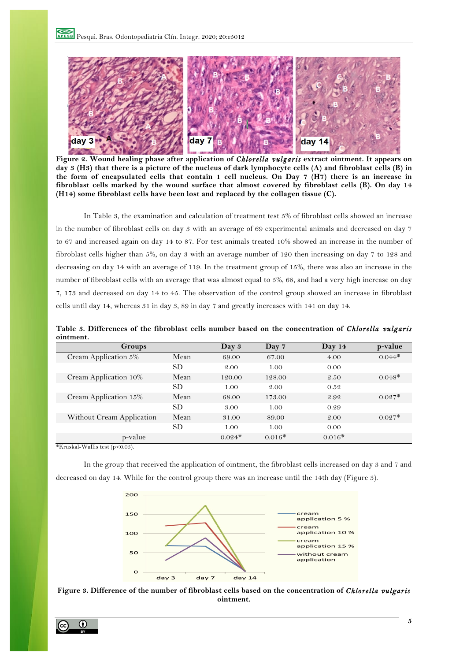

**Figure 2. Wound healing phase after application of** *Chlorella vulgaris* **extract ointment. It appears on day 3 (H3) that there is a picture of the nucleus of dark lymphocyte cells (A) and fibroblast cells (B) in the form of encapsulated cells that contain 1 cell nucleus. On Day 7 (H7) there is an increase in fibroblast cells marked by the wound surface that almost covered by fibroblast cells (B). On day 14 (H14) some fibroblast cells have been lost and replaced by the collagen tissue (C).**

In Table 3, the examination and calculation of treatment test 5% of fibroblast cells showed an increase in the number of fibroblast cells on day 3 with an average of 69 experimental animals and decreased on day 7 to 67 and increased again on day 14 to 87. For test animals treated 10% showed an increase in the number of fibroblast cells higher than 5%, on day 3 with an average number of 120 then increasing on day 7 to 128 and decreasing on day 14 with an average of 119. In the treatment group of 15%, there was also an increase in the number of fibroblast cells with an average that was almost equal to 5%, 68, and had a very high increase on day 7, 173 and decreased on day 14 to 45. The observation of the control group showed an increase in fibroblast cells until day 14, whereas 31 in day 3, 89 in day 7 and greatly increases with 141 on day 14.

**Table 3. Differences of the fibroblast cells number based on the concentration of** *Chlorella vulgaris* **ointment.**

| Groups                    |           | Day 3    | Day 7    | Day $14$ | p-value  |
|---------------------------|-----------|----------|----------|----------|----------|
| Cream Application 5%      | Mean      | 69.00    | 67.00    | 4.00     | $0.044*$ |
|                           | <b>SD</b> | 2.00     | 1.00     | 0.00     |          |
| Cream Application 10%     | Mean      | 120.00   | 128.00   | 2.50     | $0.048*$ |
|                           | SD.       | 1.00     | 2.00     | 0.52     |          |
| Cream Application 15%     | Mean      | 68.00    | 173.00   | 2.92     | $0.027*$ |
|                           | <b>SD</b> | 3.00     | 1.00     | 0.29     |          |
| Without Cream Application | Mean      | 31.00    | 89.00    | 2.00     | $0.027*$ |
|                           | <b>SD</b> | 1.00     | 1.00     | 0.00     |          |
| p-value                   |           | $0.024*$ | $0.016*$ | $0.016*$ |          |

\*Kruskal-Wallis test (p<0.05).

In the group that received the application of ointment, the fibroblast cells increased on day 3 and 7 and decreased on day 14. While for the control group there was an increase until the 14th day (Figure 3).





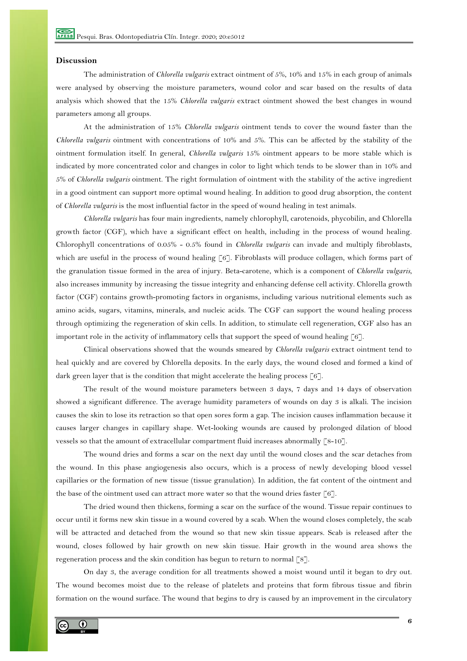## **Discussion**

The administration of *Chlorella vulgaris* extract ointment of 5%, 10% and 15% in each group of animals were analysed by observing the moisture parameters, wound color and scar based on the results of data analysis which showed that the 15% *Chlorella vulgaris* extract ointment showed the best changes in wound parameters among all groups.

At the administration of 15% *Chlorella vulgaris* ointment tends to cover the wound faster than the *Chlorella vulgaris* ointment with concentrations of 10% and 5%. This can be affected by the stability of the ointment formulation itself. In general, *Chlorella vulgaris* 15% ointment appears to be more stable which is indicated by more concentrated color and changes in color to light which tends to be slower than in 10% and 5% of *Chlorella vulgaris* ointment. The right formulation of ointment with the stability of the active ingredient in a good ointment can support more optimal wound healing. In addition to good drug absorption, the content of *Chlorella vulgaris* is the most influential factor in the speed of wound healing in test animals.

*Chlorella vulgaris* has four main ingredients, namely chlorophyll, carotenoids, phycobilin, and Chlorella growth factor (CGF), which have a significant effect on health, including in the process of wound healing. Chlorophyll concentrations of 0.05% - 0.5% found in *Chlorella vulgaris* can invade and multiply fibroblasts, which are useful in the process of wound healing [6]. Fibroblasts will produce collagen, which forms part of the granulation tissue formed in the area of injury. Beta-carotene, which is a component of *Chlorella vulgaris*, also increases immunity by increasing the tissue integrity and enhancing defense cell activity. Chlorella growth factor (CGF) contains growth-promoting factors in organisms, including various nutritional elements such as amino acids, sugars, vitamins, minerals, and nucleic acids. The CGF can support the wound healing process through optimizing the regeneration of skin cells. In addition, to stimulate cell regeneration, CGF also has an important role in the activity of inflammatory cells that support the speed of wound healing [6].

Clinical observations showed that the wounds smeared by *Chlorella vulgaris* extract ointment tend to heal quickly and are covered by Chlorella deposits. In the early days, the wound closed and formed a kind of dark green layer that is the condition that might accelerate the healing process  $\lceil 6 \rceil$ .

The result of the wound moisture parameters between 3 days, 7 days and 14 days of observation showed a significant difference. The average humidity parameters of wounds on day 3 is alkali. The incision causes the skin to lose its retraction so that open sores form a gap. The incision causes inflammation because it causes larger changes in capillary shape. Wet-looking wounds are caused by prolonged dilation of blood vessels so that the amount of extracellular compartment fluid increases abnormally [8-10].

The wound dries and forms a scar on the next day until the wound closes and the scar detaches from the wound. In this phase angiogenesis also occurs, which is a process of newly developing blood vessel capillaries or the formation of new tissue (tissue granulation). In addition, the fat content of the ointment and the base of the ointment used can attract more water so that the wound dries faster  $[6]$ .

The dried wound then thickens, forming a scar on the surface of the wound. Tissue repair continues to occur until it forms new skin tissue in a wound covered by a scab. When the wound closes completely, the scab will be attracted and detached from the wound so that new skin tissue appears. Scab is released after the wound, closes followed by hair growth on new skin tissue. Hair growth in the wound area shows the regeneration process and the skin condition has begun to return to normal [8].

On day 3, the average condition for all treatments showed a moist wound until it began to dry out. The wound becomes moist due to the release of platelets and proteins that form fibrous tissue and fibrin formation on the wound surface. The wound that begins to dry is caused by an improvement in the circulatory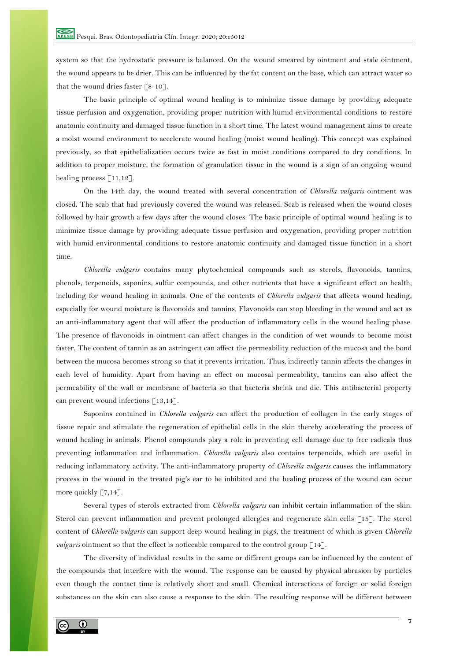system so that the hydrostatic pressure is balanced. On the wound smeared by ointment and stale ointment, the wound appears to be drier. This can be influenced by the fat content on the base, which can attract water so that the wound dries faster  $\lceil 8-10 \rceil$ .

The basic principle of optimal wound healing is to minimize tissue damage by providing adequate tissue perfusion and oxygenation, providing proper nutrition with humid environmental conditions to restore anatomic continuity and damaged tissue function in a short time. The latest wound management aims to create a moist wound environment to accelerate wound healing (moist wound healing). This concept was explained previously, so that epithelialization occurs twice as fast in moist conditions compared to dry conditions. In addition to proper moisture, the formation of granulation tissue in the wound is a sign of an ongoing wound healing process  $\lceil 11,12 \rceil$ .

On the 14th day, the wound treated with several concentration of *Chlorella vulgaris* ointment was closed. The scab that had previously covered the wound was released. Scab is released when the wound closes followed by hair growth a few days after the wound closes. The basic principle of optimal wound healing is to minimize tissue damage by providing adequate tissue perfusion and oxygenation, providing proper nutrition with humid environmental conditions to restore anatomic continuity and damaged tissue function in a short time.

*Chlorella vulgaris* contains many phytochemical compounds such as sterols, flavonoids, tannins, phenols, terpenoids, saponins, sulfur compounds, and other nutrients that have a significant effect on health, including for wound healing in animals. One of the contents of *Chlorella vulgaris* that affects wound healing, especially for wound moisture is flavonoids and tannins. Flavonoids can stop bleeding in the wound and act as an anti-inflammatory agent that will affect the production of inflammatory cells in the wound healing phase. The presence of flavonoids in ointment can affect changes in the condition of wet wounds to become moist faster. The content of tannin as an astringent can affect the permeability reduction of the mucosa and the bond between the mucosa becomes strong so that it prevents irritation. Thus, indirectly tannin affects the changes in each level of humidity. Apart from having an effect on mucosal permeability, tannins can also affect the permeability of the wall or membrane of bacteria so that bacteria shrink and die. This antibacterial property can prevent wound infections [13,14].

Saponins contained in *Chlorella vulgaris* can affect the production of collagen in the early stages of tissue repair and stimulate the regeneration of epithelial cells in the skin thereby accelerating the process of wound healing in animals. Phenol compounds play a role in preventing cell damage due to free radicals thus preventing inflammation and inflammation. *Chlorella vulgaris* also contains terpenoids, which are useful in reducing inflammatory activity. The anti-inflammatory property of *Chlorella vulgaris* causes the inflammatory process in the wound in the treated pig's ear to be inhibited and the healing process of the wound can occur more quickly [7,14].

Several types of sterols extracted from *Chlorella vulgaris* can inhibit certain inflammation of the skin. Sterol can prevent inflammation and prevent prolonged allergies and regenerate skin cells [15]. The sterol content of *Chlorella vulgaris* can support deep wound healing in pigs, the treatment of which is given *Chlorella vulgaris* ointment so that the effect is noticeable compared to the control group [14].

The diversity of individual results in the same or different groups can be influenced by the content of the compounds that interfere with the wound. The response can be caused by physical abrasion by particles even though the contact time is relatively short and small. Chemical interactions of foreign or solid foreign substances on the skin can also cause a response to the skin. The resulting response will be different between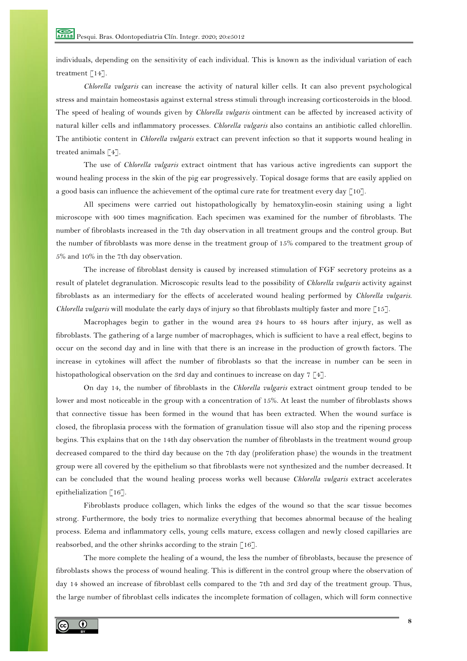individuals, depending on the sensitivity of each individual. This is known as the individual variation of each treatment [14].

*Chlorella vulgaris* can increase the activity of natural killer cells. It can also prevent psychological stress and maintain homeostasis against external stress stimuli through increasing corticosteroids in the blood. The speed of healing of wounds given by *Chlorella vulgaris* ointment can be affected by increased activity of natural killer cells and inflammatory processes. *Chlorella vulgaris* also contains an antibiotic called chlorellin. The antibiotic content in *Chlorella vulgaris* extract can prevent infection so that it supports wound healing in treated animals [4].

The use of *Chlorella vulgaris* extract ointment that has various active ingredients can support the wound healing process in the skin of the pig ear progressively. Topical dosage forms that are easily applied on a good basis can influence the achievement of the optimal cure rate for treatment every day  $\lceil 10 \rceil$ .

All specimens were carried out histopathologically by hematoxylin-eosin staining using a light microscope with 400 times magnification. Each specimen was examined for the number of fibroblasts. The number of fibroblasts increased in the 7th day observation in all treatment groups and the control group. But the number of fibroblasts was more dense in the treatment group of 15% compared to the treatment group of 5% and 10% in the 7th day observation.

The increase of fibroblast density is caused by increased stimulation of FGF secretory proteins as a result of platelet degranulation. Microscopic results lead to the possibility of *Chlorella vulgaris* activity against fibroblasts as an intermediary for the effects of accelerated wound healing performed by *Chlorella vulgaris*. *Chlorella vulgaris* will modulate the early days of injury so that fibroblasts multiply faster and more [15].

Macrophages begin to gather in the wound area 24 hours to 48 hours after injury, as well as fibroblasts. The gathering of a large number of macrophages, which is sufficient to have a real effect, begins to occur on the second day and in line with that there is an increase in the production of growth factors. The increase in cytokines will affect the number of fibroblasts so that the increase in number can be seen in histopathological observation on the 3rd day and continues to increase on day  $7 \lceil 4 \rceil$ .

On day 14, the number of fibroblasts in the *Chlorella vulgaris* extract ointment group tended to be lower and most noticeable in the group with a concentration of 15%. At least the number of fibroblasts shows that connective tissue has been formed in the wound that has been extracted. When the wound surface is closed, the fibroplasia process with the formation of granulation tissue will also stop and the ripening process begins. This explains that on the 14th day observation the number of fibroblasts in the treatment wound group decreased compared to the third day because on the 7th day (proliferation phase) the wounds in the treatment group were all covered by the epithelium so that fibroblasts were not synthesized and the number decreased. It can be concluded that the wound healing process works well because *Chlorella vulgaris* extract accelerates epithelialization [16].

Fibroblasts produce collagen, which links the edges of the wound so that the scar tissue becomes strong. Furthermore, the body tries to normalize everything that becomes abnormal because of the healing process. Edema and inflammatory cells, young cells mature, excess collagen and newly closed capillaries are reabsorbed, and the other shrinks according to the strain [16].

The more complete the healing of a wound, the less the number of fibroblasts, because the presence of fibroblasts shows the process of wound healing. This is different in the control group where the observation of day 14 showed an increase of fibroblast cells compared to the 7th and 3rd day of the treatment group. Thus, the large number of fibroblast cells indicates the incomplete formation of collagen, which will form connective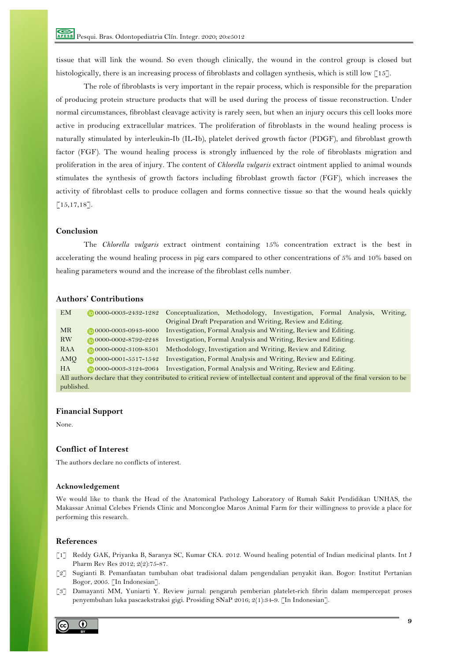tissue that will link the wound. So even though clinically, the wound in the control group is closed but histologically, there is an increasing process of fibroblasts and collagen synthesis, which is still low [15].

The role of fibroblasts is very important in the repair process, which is responsible for the preparation of producing protein structure products that will be used during the process of tissue reconstruction. Under normal circumstances, fibroblast cleavage activity is rarely seen, but when an injury occurs this cell looks more active in producing extracellular matrices. The proliferation of fibroblasts in the wound healing process is naturally stimulated by interleukin-Ib (IL-Ib), platelet derived growth factor (PDGF), and fibroblast growth factor (FGF). The wound healing process is strongly influenced by the role of fibroblasts migration and proliferation in the area of injury. The content of *Chlorella vulgaris* extract ointment applied to animal wounds stimulates the synthesis of growth factors including fibroblast growth factor (FGF), which increases the activity of fibroblast cells to produce collagen and forms connective tissue so that the wound heals quickly  $[15, 17, 18]$ .

### **Conclusion**

The *Chlorella vulgaris* extract ointment containing 15% concentration extract is the best in accelerating the wound healing process in pig ears compared to other concentrations of 5% and 10% based on healing parameters wound and the increase of the fibroblast cells number.

## **Authors' Contributions**

| <b>EM</b>                                                                                                                    | $\n  0000 - 0003 - 2432 - 1282\n$    | Conceptualization, Methodology, Investigation, Formal Analysis, |  |  |  |  | Writing, |
|------------------------------------------------------------------------------------------------------------------------------|--------------------------------------|-----------------------------------------------------------------|--|--|--|--|----------|
|                                                                                                                              |                                      | Original Draft Preparation and Writing, Review and Editing.     |  |  |  |  |          |
| <b>MR</b>                                                                                                                    | $\n  0000 - 0003 - 0943 - 4000\n$    | Investigation, Formal Analysis and Writing, Review and Editing. |  |  |  |  |          |
| <b>RW</b>                                                                                                                    | $\n  0000 - 0002 - 8792 - 2248\n$    | Investigation, Formal Analysis and Writing, Review and Editing. |  |  |  |  |          |
| RAA                                                                                                                          | $0000-0002-3109-8501$                | Methodology, Investigation and Writing, Review and Editing.     |  |  |  |  |          |
| AMQ                                                                                                                          | $\bigcirc 0000 - 0001 - 5517 - 1542$ | Investigation, Formal Analysis and Writing, Review and Editing. |  |  |  |  |          |
| <b>HA</b>                                                                                                                    | $\n  0000 - 0003 - 3124 - 2064\n$    | Investigation, Formal Analysis and Writing, Review and Editing. |  |  |  |  |          |
| All authors declare that they contributed to critical review of intellectual content and approval of the final version to be |                                      |                                                                 |  |  |  |  |          |
| published.                                                                                                                   |                                      |                                                                 |  |  |  |  |          |

### **Financial Support**

None.

#### **Conflict of Interest**

The authors declare no conflicts of interest.

#### **Acknowledgement**

We would like to thank the Head of the Anatomical Pathology Laboratory of Rumah Sakit Pendidikan UNHAS, the Makassar Animal Celebes Friends Clinic and Moncongloe Maros Animal Farm for their willingness to provide a place for performing this research.

#### **References**

- [1] Reddy GAK, Priyanka B, Saranya SC, Kumar CKA. 2012. Wound healing potential of Indian medicinal plants. Int J Pharm Rev Res 2012; 2(2):75-87.
- [2] Sugianti B. Pemanfaatan tumbuhan obat tradisional dalam pengendalian penyakit ikan. Bogor: Institut Pertanian Bogor, 2005. [In Indonesian].
- [3] Damayanti MM, Yuniarti Y. Review jurnal: pengaruh pemberian platelet-rich fibrin dalam mempercepat proses penyembuhan luka pascaekstraksi gigi. Prosiding SNaP 2016; 2(1):34-9. [In Indonesian].